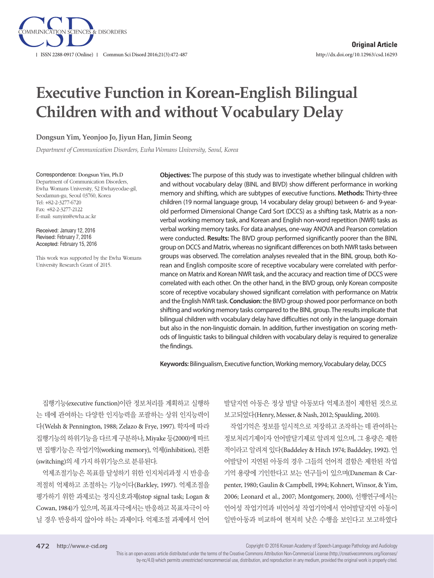

# **Executive Function in Korean-English Bilingual Children with and without Vocabulary Delay**

**Dongsun Yim, Yeonjoo Jo, Jiyun Han, Jimin Seong**

*Department of Communication Disorders, Ewha Womans University, Seoul, Korea*

Correspondence: Dongsun Yim, Ph.D Department of Communication Disorders, Ewha Womans University, 52 Ewhayeodae-gil, Seodamun-gu, Seoul 03760, Korea Tel: +82-2-3277-6720 Fax: +82-2-3277-2122 E-mail: sunyim@ewha.ac.kr

Received: January 12, 2016 Revised: February 7, 2016 Accepted: February 15, 2016

This work was supported by the Ewha Womans University Research Grant of 2015.

**Objectives:** The purpose of this study was to investigate whether bilingual children with and without vocabulary delay (BINL and BIVD) show different performance in working memory and shifting, which are subtypes of executive functions. **Methods:** Thirty-three children (19 normal language group, 14 vocabulary delay group) between 6- and 9-yearold performed Dimensional Change Card Sort (DCCS) as a shifting task, Matrix as a nonverbal working memory task, and Korean and English non-word repetition (NWR) tasks as verbal working memory tasks. For data analyses, one-way ANOVA and Pearson correlation were conducted. **Results:** The BIVD group performed significantly poorer than the BINL group on DCCS and Matrix, whereas no significant differences on both NWR tasks between groups was observed. The correlation analyses revealed that in the BINL group, both Korean and English composite score of receptive vocabulary were correlated with performance on Matrix and Korean NWR task, and the accuracy and reaction time of DCCS were correlated with each other. On the other hand, in the BIVD group, only Korean composite score of receptive vocabulary showed significant correlation with performance on Matrix and the English NWR task. **Conclusion:** the BIVD group showed poor performance on both shifting and working memory tasks compared to the BINL group. The results implicate that bilingual children with vocabulary delay have difficulties not only in the language domain but also in the non-linguistic domain. In addition, further investigation on scoring methods of linguistic tasks to bilingual children with vocabulary delay is required to generalize the findings.

**Keywords:** Bilingualism, Executive function, Working memory, Vocabulary delay, DCCS

집행기능(executive function)이란 정보처리를 계획하고 실행하 는 데에 관여하는 다양한 인지능력을 포괄하는 상위 인지능력이 다(Welsh & Pennington, 1988; Zelazo & Frye, 1997). 학자에 따라 집행기능의하위기능을다르게구분하나, Miyake 등(2000)에따르 면 집행기능은 작업기억(working memory), 억제(inhibition), 전환 (switching)의세가지하위기능으로분류된다.

억제조절기능은 목표를 달성하기 위한 인지처리과정 시 반응을 적절히 억제하고 조절하는 기능이다(Barkley, 1997). 억제조절을 평가하기 위한 과제로는 정지신호과제(stop signal task; Logan & Cowan, 1984)가 있으며, 목표자극에서는 반응하고 목표자극이 아 닐 경우 반응하지 않아야 하는 과제이다. 억제조절 과제에서 언어

발달지연 아동은 정상 발달 아동보다 억제조절이 제한된 것으로 보고되었다(Henry, Messer, & Nash, 2012; Spaulding, 2010).

작업기억은 정보를 일시적으로 저장하고 조작하는 데 관여하는 정보처리기제이자 언어발달기제로 알려져 있으며, 그 용량은 제한 적이라고 알려져 있다(Baddeley & Hitch 1974; Baddeley, 1992). 언 어발달이 지연된 아동의 경우 그들의 언어적 결함은 제한된 작업 기억 용량에 기인한다고 보는 연구들이 있으며(Daneman & Carpenter, 1980; Gaulin & Campbell, 1994; Kohnert, Winsor, & Yim, 2006; Leonard et al., 2007; Montgomery, 2000), 선행연구에서는 언어성 작업기억과 비언어성 작업기억에서 언어발달지연 아동이 일반아동과 비교하여 현저히 낮은 수행을 보인다고 보고하였다

Copyright © 2016 Korean Academy of Speech-Language Pathology and Audiology

This is an open-access article distributed under the terms of the Creative Commons Attribution Non-Commercial License (http://creativecommons.org/licenses/ by-nc/4.0) which permits unrestricted noncommercial use, distribution, and reproduction in any medium, provided the original work is properly cited.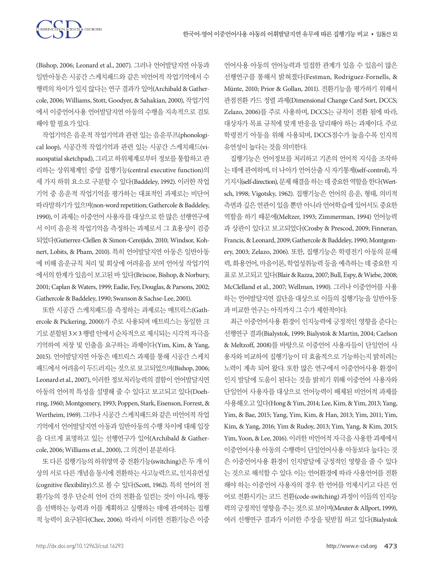(Bishop, 2006; Leonard et al., 2007). 그러나 언어발달지연 아동과 일반아동은 시공간 스케치패드와 같은 비언어적 작업기억에서 수 행력의 차이가 있지 않다는 연구 결과가 있어(Archibald & Gathercole, 2006; Williams, Stott, Goodyer, & Sahakian, 2000), 작업기억 에서 이중언어사용 언어발달지연 아동의 수행을 지속적으로 검토 해야할필요가있다.

작업기억은 음운적 작업기억과 관련 있는 음운루프(phonological loop), 시공간적 작업기억과 관련 있는 시공간 스케치패드(visuospatial sketchpad), 그리고 하위체계로부터 정보를 통합하고 관 리하는 상위체계인 중앙 집행기능(central executive function)의 세 가지 하위 요소로 구분할 수 있다(Baddeley, 1992). 이러한 작업 기억 중 음운적 작업기억을 평가하는 대표적인 과제로는 비단어 따라말하기가있으며(non-word repetition; Gathercole & Baddeley, 1990), 이 과제는 이중언어 사용자를 대상으로 한 많은 선행연구에 서 이미 음운적 작업기억을 측정하는 과제로서 그 효용성이 검증 되었다(Gutierrez-Clellen & Simon‐Cereijido, 2010; Windsor, Kohnert, Lobits, & Pham, 2010). 특히 언어발달지연 아동은 일반아동 에 비해 음운규칙 처리 및 회상에 어려움을 보여 언어성 작업기억 에서의 한계가 있음이 보고된 바 있다(Briscoe, Bishop, & Norbury, 2001; Caplan & Waters, 1999; Eadie, Fey, Douglas, & Parsons, 2002; Gathercole & Baddeley, 1990; Swanson & Sachse-Lee, 2001).

또한 시공간 스케치패드를 측정하는 과제로는 매트릭스(Gathercole & Pickering, 2000)가 주로 사용되며 매트릭스는 동일한 크 기로분할된 3×3 행렬안에서순차적으로제시되는시각적자극을 기억하여 저장 및 인출을 요구하는 과제이다(Yim, Kim, & Yang, 2015). 언어발달지연 아동은 매트릭스 과제를 통해 시공간 스케치 패드에서 어려움이 두드러지는 것으로 보고되었으며(Bishop, 2006; Leonard et al., 2007), 이러한 정보처리능력의 결함이 언어발달지연 아동의 언어적 특성을 설명해 줄 수 있다고 보고되고 있다(Doehring, 1960; Montgomery, 1993; Poppen, Stark, Eisenson, Forrest, & Wertheim, 1969). 그러나 시공간 스케치패드와 같은 비언어적 작업 기억에서 언어발달지연 아동과 일반아동의 수행 차이에 대해 입장 을 다르게 표명하고 있는 선행연구가 있어(Archibald & Gathercole, 2006; Williams et al., 2000), 그의견이분분하다.

또 다른 집행기능의 하위영역 중 전환기능(switching)은 두 개 이 상의서로다른개념을동시에전환하는사고능력으로, 인지유연성 (cognitive flexibility)으로 볼 수 있다(Scott, 1962). 특히 언어의 전 환기능의 경우 단순히 언어 간의 전환을 일컫는 것이 아니라, 행동 을 선택하는 능력과 이를 계획하고 실행하는 데에 관여하는 집행 적 능력이 요구된다(Chee, 2006). 따라서 이러한 전환기능은 이중

언어사용 아동의 언어능력과 밀접한 관계가 있을 수 있음이 많은 선행연구를 통해서 밝혀졌다(Festman, Rodriguez-Fornells, & Münte, 2010; Prior & Gollan, 2011). 전환기능을 평가하기 위해서 관점전환 카드 정렬 과제(Dimensional Change Card Sort, DCCS; Zelazo, 2006)를 주로 사용하며, DCCS는 규칙이 전환 됨에 따라, 대상자가 목표 규칙에 맞게 반응을 달리해야 하는 과제이다. 주로 학령전기 아동을 위해 사용되며, DCCS점수가 높을수록 인지적 유연성이높다는것을의미한다.

집행기능은 언어정보를 처리하고 기존의 언어적 지식을 조작하 는 데에 관여하며, 더 나아가 언어산출 시 자기통제(self-control), 자 기지시(self-direction), 문제 해결을 하는 데 중요한 역할을 한다(Wertsch, 1998; Vigotsky, 1962). 집행기능은 언어의 음운, 형태, 의미적 측면과 깊은 연관이 있을 뿐만 아니라 언어학습에 있어서도 중요한 역할을 하기 때문에(Meltzer, 1993; Zimmerman, 1994) 언어능력 과 상관이 있다고 보고되었다(Crosby & Prescod, 2009; Finneran, Francis, & Leonard, 2009; Gathercole & Baddeley, 1990; Montgomery, 2003; Zelazo, 2006). 또한, 집행기능은 학령전기 아동의 문해 력, 화용언어, 마음이론, 학업성취능력 등을 예측하는 데 중요한 지 표로보고되고있다(Blair & Razza, 2007; Bull, Espy, & Wiebe, 2008; McClelland et al., 2007; Wellman, 1990). 그러나 이중언어를 사용 하는 언어발달지연 집단을 대상으로 이들의 집행기능을 일반아동 과 비교한 연구는 아직까지 그 수가 제한적이다.

최근 이중언어사용 환경이 인지능력에 긍정적인 영향을 준다는 선행연구 결과(Bialystok, 1999; Bialystok & Martin, 2004; Carlson & Meltzoff, 2008)를 바탕으로 이중언어 사용자들이 단일언어 사 용자와 비교하여 집행기능이 더 효율적으로 기능하는지 밝히려는 노력이 계속 되어 왔다. 또한 많은 연구에서 이중언어사용 환경이 인지 발달에 도움이 된다는 것을 밝히기 위해 이중언어 사용자와 단일언어 사용자를 대상으로 언어능력이 배제된 비언어적 과제를 사용해오고있다(Hong & Yim, 2014; Lee, Kim, & Yim, 2013; Yang, Yim, & Bae, 2015; Yang, Yim, Kim, & Han, 2013; Yim, 2011; Yim, Kim, & Yang, 2016; Yim & Rudoy, 2013; Yim, Yang, & Kim, 2015; Yim, Yoon, & Lee, 2016). 이러한 비언어적 자극을 사용한 과제에서 이중언어사용 아동의 수행력이 단일언어사용 아동보다 높다는 것 은 이중언어사용 환경이 인지발달에 긍정적인 영향을 줄 수 있다 는 것으로 해석할 수 있다. 이는 언어환경에 따라 사용언어를 전환 해야 하는 이중언어 사용자의 경우 한 언어를 억제시키고 다른 언 어로 전환시키는 코드 전환(code-switching) 과정이 이들의 인지능 력의 긍정적인영향을주는것으로보이며(Meuter & Allport, 1999), 여러 선행연구 결과가 이러한 주장을 뒷받침 하고 있다(Bialystok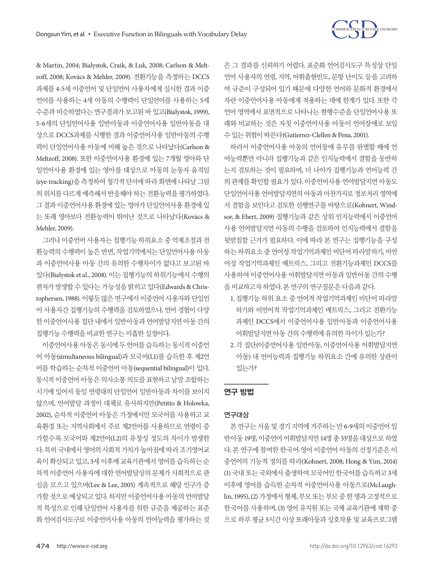

& Martin, 2004; Bialystok, Craik, & Luk, 2008; Carlson & Meltzoff, 2008; Kovács & Mehler, 2009). 전환기능을 측정하는 DCCS 과제를 4-5세 이중언어 및 단일언어 사용자에게 실시한 결과 이중 언어를 사용하는 4세 아동의 수행력이 단일언어를 사용하는 5세 수준과 비슷하였다는 연구결과가 보고된 바 있고(Bialystok, 1999), 5-6세의 단일언어사용 일반아동과 이중언어사용 일반아동을 대 상으로 DCCS과제를 시행한 결과 이중언어사용 일반아동의 수행 력이 단일언어사용 아동에 비해 높은 것으로 나타났다(Carlson & Meltzoff, 2008). 또한 이중언어사용 환경에 있는 7개월 영아와 단 일언어사용 환경에 있는 영아를 대상으로 아동의 눈동자 움직임 (eye-tracking)을 측정하여 청각적 단서에 따라 화면에 나타날 그림 의 위치를 다르게 예측해서 반응해야 하는 전환능력을 평가하였다. 그결과 이중언어사용 환경에 있는 영아가 단일언어사용 환경에 있 는 또래 영아보다 전환능력이 뛰어난 것으로 나타났다(Kovács & Mehler, 2009).

그러나 이중언어 사용자는 집행기능 하위요소 중 억제조절과 전 환능력의 수행력이 높은 반면, 작업기억에서는 단일언어사용 아동 과 이중언어사용 아동 간의 유의한 수행차이가 없다고 보고된 바 있다(Bialystok et al., 2008). 이는 집행기능의 하위기능에서 수행의 편차가발생할수있다는가능성을밝히고있다(Edwards & Christophersen, 1988). 이렇듯 많은 연구에서 이중언어 사용자와 단일언 어 사용자간 집행기능의 수행력을 검토하였으나, 언어 경험이 다양 한 이중언어사용 집단 내에서 일반아동과 언어발달지연 아동 간의 집행기능수행력을비교한연구는미흡한실정이다.

이중언어사용아동은동시에두언어를습득하는동시적이중언 어 아동(simultaneous bilingual)과 모국어(L1)를 습득한 후 제2언 어를 학습하는 순차적 이중언어 아동(sequential bilingual)이 있다. 동시적 이중언어 아동은 의사소통 의도를 표현하고 낱말 조합하는 시기에 있어서 동일 연령대의 단일언어 일반아동과 차이를 보이지 않으며, 언어발달 과정이 대체로 유사하지만(Petitto & Holowka, 2002), 순차적 이중언어 아동은 가정에서만 모국어를 사용하고 교 육환경 또는 지역사회에서 주로 제2언어를 사용하므로 연령이 증 가할수록 모국어와 제2언어(L2)의 유창성 정도의 차이가 발생한 다. 특히 국내에서 영어의 사회적 가치가 높아짐에 따라 조기영어교 육이 확산되고 있고, 3세 이후에 교육기관에서 영어를 습득하는 순 차적 이중언어 사용자에 대한 언어발달상의 문제가 사회적으로 관 심을 모으고 있으며(Lee & Lee, 2005) 계속적으로 해당 인구가 증 가할것으로예상되고있다. 하지만이중언어사용아동의언어발달 적 특성으로 인해 단일언어 사용자를 위한 규준을 제공하는 표준 화 언어검사도구로 이중언어사용 아동의 언어능력을 평가하는 것 은 그 결과를 신뢰하기 어렵다. 표준화 언어검사도구 특성상 단일 언어 사용자의 연령, 지역, 어휘출현빈도, 문항 난이도 등을 고려하 여 규준이 구성되어 있기 때문에 다양한 언어와 문화적 환경에서 자란 이중언어사용 아동에게 적용하는 데에 한계가 있다. 또한 각 언어 영역에서 표면적으로 나타나는 현행수준을 단일언어사용 또 래와 비교하는 것은 자칫 이중언어사용 아동이 언어장애로 보일 수있는위험이따른다(Gutierrez-Clellen & Pena, 2001).

따라서 이중언어사용 아동의 언어장애 유무를 판별할 때에 언 어능력뿐만 아니라 집행기능과 같은 인지능력에서 결함을 동반하 는지 검토하는 것이 필요하며, 더 나아가 집행기능과 언어능력 간 의관계를확인할필요가있다. 이중언어사용언어발달지연아동도 단일언어사용 언어발달지연의 아동과 마찬가지로 정보처리 영역에 서 결함을 보인다고 검토한 선행연구를 바탕으로(Kohnert, Windsor, & Ebert, 2009) 집행기능과 같은 상위 인지능력에서 이중언어 사용 언어발달지연 아동의 수행을 검토하여 인지능력에서 결함을 뒷받침할 근거가 필요하다. 이에 따라 본 연구는 집행기능을 구성 하는 하위요소 중 언어성 작업기억과제인 비단어 따라말하기, 비언 어성 작업기억과제인 매트릭스, 그리고 전환기능과제인 DCCS를 사용하여 이중언어사용 어휘발달지연 아동과 일반아동 간의 수행 을비교하고자하였다. 본연구의연구질문은다음과같다.

- 1. 집행기능 하위 요소 중 언어적 작업기억과제인 비단어 따라말 하기와 비언어적 작업기억과제인 매트릭스, 그리고 전환기능 과제인 DCCS에서 이중언어사용 일반아동과 이중언어사용 어휘발달지연 아동 간의 수행력에 유의한 차이가 있는가?
- 2. 각 집단(이중언어사용 일반아동, 이중언어사용 어휘발달지연 아동) 내 언어능력과 집행기능 하위요소 간에 유의한 상관이 있는가?

## 연구 방법

# 연구대상

본 연구는 서울 및 경기 지역에 거주하는 만 6-9세의 이중언어 일 반아동 19명, 이중언어 어휘발달지연 14명 총 33명을 대상으로 하였 다. 본 연구에 참여한 한국어-영어 이중언어 아동의 선정기준은 이 중언어의 기능적 정의를 따라(Kohnert, 2008; Hong & Yim, 2014) (1) 국내 또는 국외에서 출생하여 모국어인 한국어를 습득하고 3세 이후에 영어를 습득한 순차적 이중언어사용 아동으로(McLaughlin, 1995), (2) 가정에서 형제, 부모또는 부모중 한 명과 고정적으로 한국어를 사용하며, (3) 영어 유치원 또는 국제 교육기관에 재학 중 으로 하루 평균 5시간 이상 또래아동과 상호작용 및 교육프로그램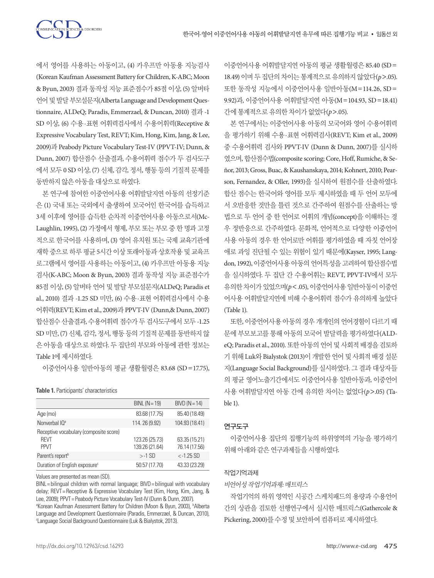에서 영어를 사용하는 아동이고, (4) 카우프만 아동용 지능검사 (Korean Kaufman Assessment Battery for Children, K-ABC; Moon & Byun, 2003) 결과 동작성 지능 표준점수가 85점 이상, (5) 알버타 언어및발달부모설문지(Alberta Language and Development Questionnaire, ALDeQ; Paradis, Emmerzael, & Duncan, 2010) 결과 -1 SD 이상, (6) 수용·표현 어휘력검사에서 수용어휘력(Receptive & Expressive Vocabulary Test, REVT; Kim, Hong, Kim, Jang, & Lee, 2009)과 Peabody Picture Vocabulary Test-IV (PPVT-IV; Dunn, & Dunn, 2007) 합산점수 산출결과, 수용어휘력 점수가 두 검사도구 에서 모두 0 SD 이상, (7) 신체, 감각, 정서, 행동 등의 기질적 문제를 동반하지않은아동을대상으로하였다.

본 연구에 참여한 이중언어사용 어휘발달지연 아동의 선정기준 은 (1) 국내 또는 국외에서 출생하여 모국어인 한국어를 습득하고 3세 이후에 영어를 습득한 순차적 이중언어사용 아동으로서(Mc-Laughlin, 1995), (2) 가정에서 형제, 부모 또는 부모 중 한 명과 고정 적으로 한국어를 사용하며, (3) 영어 유치원 또는 국제 교육기관에 재학 중으로 하루 평균 5시간 이상 또래아동과 상호작용 및 교육프 로그램에서 영어를 사용하는 아동이고, (4) 카우프만 아동용 지능 검사(K-ABC; Moon & Byun, 2003) 결과 동작성 지능 표준점수가 85점 이상, (5) 알버타 언어 및 발달 부모설문지(ALDeQ; Paradis et al., 2010) 결과 -1.25 SD 미만, (6) 수용·표현 어휘력검사에서 수용 어휘력(REVT; Kim et al., 2009)과 PPVT-IV (Dunn,& Dunn, 2007) 합산점수 산출결과, 수용어휘력 점수가 두 검사도구에서 모두 -1.25 SD 미만, (7) 신체, 감각, 정서, 행동 등의 기질적 문제를 동반하지 않 은 아동을 대상으로 하였다. 두 집단의 부모와 아동에 관한 정보는 Table 1에 제시하였다.

이중언어사용 일반아동의 평균 생활월령은 83.68 (SD=17.75),

**Table 1.** Participants' characteristics

|                                                                      | $BINL (N = 19)$                  | $BIVD (N = 14)$                |
|----------------------------------------------------------------------|----------------------------------|--------------------------------|
| Age (mo)                                                             | 83.68 (17.75)                    | 85.40 (18.49)                  |
| Nonverbal IO <sup>a</sup>                                            | 114.26 (9.92)                    | 104.93 (18.41)                 |
| Receptive vocabulary (composite score)<br><b>RFVT</b><br><b>PPVT</b> | 123.26 (25.73)<br>139.26 (21.64) | 63.35 (15.21)<br>76.14 (17.56) |
| Parent's report <sup>b</sup>                                         | $> -1$ SD                        | $< -1.25$ SD                   |
| Duration of English exposure <sup>c</sup>                            | 50.57 (17.70)                    | 43.33 (23.29)                  |

Values are presented as mean (SD).

BINL= bilingual children with normal language; BIVD= bilingual with vocabulary delay; REVT= Receptive & Expressive Vocabulary Test (Kim, Hong, Kim, Jang, & Lee, 2009); PPVT = Peabody Picture Vocabulary Test-IV (Dunn & Dunn, 2007). <sup>a</sup>Korean Kaufman Assessment Battery for Children (Moon & Byun, 2003), <sup>b</sup>Alberta Language and Development Questionnaire (Paradis, Emmerzael, & Duncan, 2010), c Language Social Background Questionnaire (Luk & Bialystok, 2013).

이중언어사용 어휘발달지연 아동의 평균 생활월령은 85.40 (SD= 18.49) 이며 두 집단의 차이는 통계적으로 유의하지 않았다(*p*>.05). 또한 동작성 지능에서 이중언어사용 일반아동(M=114.26, SD= 9.92)과, 이중언어사용 어휘발달지연 아동(M=104.93, SD=18.41) 간에통계적으로유의한차이가없었다(*p*>.05).

본 연구에서는 이중언어사용 아동의 모국어와 영어 수용어휘력 을 평가하기 위해 수용·표현 어휘력검사(REVT; Kim et al., 2009) 중 수용어휘력 검사와 PPVT-IV (Dunn & Dunn, 2007)를 실시하 였으며, 합산점수법(composite scoring; Core, Hoff, Rumiche, & Señor, 2013; Gross, Buac, & Kaushanskaya, 2014; Kohnert, 2010; Pearson, Fernandez, & Oller, 1993)을 실시하여 원점수를 산출하였다. 합산 점수는 한국어와 영어를 모두 제시하였을 때 두 언어 모두에 서 오반응한 것만을 틀린 것으로 간주하여 원점수를 산출하는 방 법으로 두 언어 중 한 언어로 어휘의 개념(concept)을 이해하는 경 우 정반응으로 간주하였다. 문화적, 언어적으로 다양한 이중언어 사용 아동의 경우 한 언어로만 어휘를 평가하였을 때 자칫 언어장 애로 과잉 진단될 수 있는 위험이 있기 때문에(Kayser, 1995; Langdon, 1992), 이중언어사용 아동의 언어특성을 고려하여 합산점수법 을 실시하였다. 두 집단 간 수용어휘는 REVT, PPVT-IV에서 모두 유의한차이가있었으며(*p*<.05), 이중언어사용일반아동이이중언 어사용 어휘발달지연에 비해 수용어휘력 점수가 유의하게 높았다 (Table 1).

또한, 이중언어사용 아동의 경우 개개인의 언어경험이 다르기 때 문에 부모보고를 통해 아동의 모국어 발달력을 평가하였다(ALDeQ; Paradis et al., 2010). 또한 아동의 언어 및 사회적 배경을 검토하 기 위해 Luk와 Bialystok (2013)이 개발한 언어 및 사회적 배경 설문 지(Language Social Background)를 실시하였다. 그 결과 대상자들 의 평균 영어노출기간에서도 이중언어사용 일반아동과, 이중언어 사용 어휘발달지연 아동 간에 유의한 차이는 없었다(*p*>.05) (Table 1).

## 연구도구

이중언어사용 집단의 집행기능의 하위영역의 기능을 평가하기 위해아래와같은연구과제들을시행하였다.

# 작업기억과제

비언어성작업기억과제: 매트릭스

작업기억의 하위 영역인 시공간 스케치패드의 용량과 수용언어 간의 상관을 검토한 선행연구에서 실시한 매트릭스(Gathercole & Pickering, 2000)를수정및보안하여컴퓨터로제시하였다.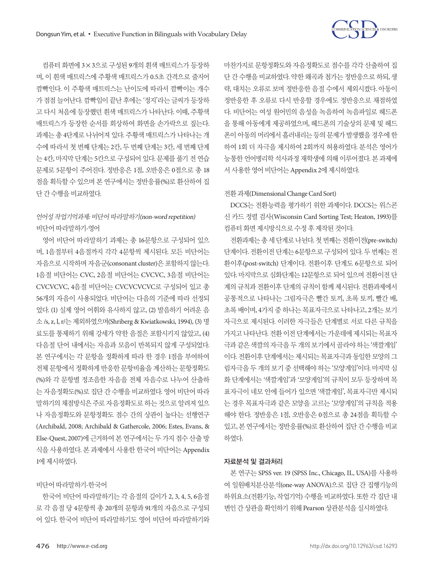

컴퓨터 화면에 3×3으로 구성된 9개의 흰색 매트릭스가 등장하 며, 이 흰색 매트릭스에 주황색 매트릭스가 0.5초 간격으로 줄지어 깜빡인다. 이 주황색 매트릭스는 난이도에 따라서 깜빡이는 개수 가 점점 늘어난다. 깜빡임이 끝난 후에는 '정지'라는 글씨가 등장하 고 다시 처음에 등장했던 흰색 매트릭스가 나타난다. 이때, 주황색 매트릭스가 등장한 순서를 회상하여 화면을 손가락으로 짚는다. 과제는 총 4단계로 나뉘어져 있다. 주황색 매트릭스가 나타나는 개 수에 따라서 첫 번째 단계는 2칸, 두 번째 단계는 3칸, 세 번째 단계 는 4칸, 마지막 단계는 5칸으로 구성되어 있다. 문제를 풀기 전 연습 문제로 5문항이 주어진다. 정반응은 1점, 오반응은 0점으로 총 18 점을 획득할 수 있으며 본 연구에서는 정반응률(%)로 환산하여 집 단간수행을비교하였다.

# 언어성작업기억과제: 비단어따라말하기(non-word repetition) 비단어따라말하기-영어

영어 비단어 따라말하기 과제는 총 16문항으로 구성되어 있으 며, 1음절부터 4음절까지 각각 4문항씩 제시된다. 모든 비단어는 자음으로 시작하며 자음군(consonant cluster)은 포함하지 않는다. 1음절 비단어는 CVC, 2음절 비단어는 CVCVC, 3음절 비단어는 CVCVCVC, 4음절 비단어는 CVCVCVCVC로 구성되어 있고 총 56개의 자음이 사용되었다. 비단어는 다음의 기준에 따라 선정되 었다. (1) 실제 영어 어휘와 유사하지 않고, (2) 발음하기 어려운 음 소 /s, z, l, r/는 제외하였으며(Shriberg & Kwiatkowski, 1994), (3) 명 료도를 통제하기 위해 강세가 약한 음절은 포함시키지 않았고, (4) 다음절 단어 내에서는 자음과 모음이 반복되지 않게 구성되었다. 본 연구에서는 각 문항을 정확하게 따라 한 경우 1점을 부여하여 전체 문항에서 정확하게 반응한 문항비율을 계산하는 문항정확도 (%)와 각 문항별 정조음한 자음을 전체 자음수로 나누어 산출하 는 자음정확도(%)로 집단 간 수행을 비교하였다. 영어 비단어 따라 말하기의 채점방식은 주로 자음정확도로 하는 것으로 알려져 있으 나 자음정확도와 문항정확도 점수 간의 상관이 높다는 선행연구 (Archibald, 2008; Archibald & Gathercole, 2006; Estes, Evans, & Else-Quest, 2007)에 근거하여 본 연구에서는 두 가지 점수 산출 방 식을 사용하였다. 본 과제에서 사용한 한국어 비단어는 Appendix 1에 제시하였다.

#### 비단어따라말하기-한국어

한국어 비단어 따라말하기는 각 음절의 길이가 2, 3, 4, 5, 6음절 로 각 음절 당 4문항씩 총 20개의 문항과 91개의 자음으로 구성되 어 있다. 한국어 비단어 따라말하기도 영어 비단어 따라말하기와

마찬가지로 문항정확도와 자음정확도로 점수를 각각 산출하여 집 단 간 수행을 비교하였다. 약한 왜곡과 첨가는 정반응으로 하되, 생 략, 대치는 오류로 보며 정반응한 음절 수에서 제외시켰다. 아동이 정반응한 후 오류로 다시 반응할 경우에도 정반응으로 채점하였 다. 비단어는 여성 원어민의 음성을 녹음하여 녹음파일로 헤드폰 을 통해 아동에게 제공하였으며, 헤드폰의 기술상의 문제 및 헤드 폰이 아동의 머리에서 흘러내리는 등의 문제가 발생했을 경우에 한 하여 1회 더 자극을 제시하여 2회까지 허용하였다. 분석은 영어가 능통한 언어병리학 석사과정 재학생에 의해 이루어졌다. 본 과제에 서 사용한 영어 비단어는 Appendix 2에 제시하였다.

#### 전환과제(Dimensional Change Card Sort)

DCCS는 전환능력을 평가하기 위한 과제이다. DCCS는 위스콘 신 카드 정렬 검사(Wisconsin Card Sorting Test; Heaton, 1993)를 컴퓨터화면제시방식으로수정후제작된것이다.

전환과제는총세단계로나뉜다. 첫번째는전환이전(pre-switch) 단계이다. 전환이전 단계는 6문항으로 구성되어 있다. 두 번째는 전 환이후(post-switch) 단계이다. 전환이후 단계도 6문항으로 되어 있다. 마지막으로 심화단계는 12문항으로 되어 있으며 전환이전 단 계의 규칙과 전환이후 단계의 규칙이 함께 제시된다. 전환과제에서 공통적으로 나타나는 그림자극은 빨간 토끼, 초록 토끼, 빨간 배, 초록 배이며, 4가지 중 하나는 목표자극으로 나타나고, 2개는 보기 자극으로 제시된다. 이러한 자극들은 단계별로 서로 다른 규칙을 가지고 나타난다. 전환 이전 단계에서는 가운데에 제시되는 목표자 극과 같은 색깔의 자극을 두 개의 보기에서 골라야 하는 '색깔게임' 이다. 전환이후 단계에서는 제시되는 목표자극과 동일한 모양의 그 림자극을 두 개의 보기 중 선택해야 하는 '모양게임'이다. 마지막 심 화 단계에서는 '색깔게임'과 '모양게임'의 규칙이 모두 등장하며 목 표자극이 네모 안에 들어가 있으면 '색깔게임', 목표자극만 제시되 는 경우 목표자극과 같은 모양을 고르는 '모양게임'의 규칙을 적용 해야 한다. 정반응은 1점, 오반응은 0점으로 총 24점을 획득할 수 있고, 본 연구에서는 정반응률(%)로 환산하여 집단 간 수행을 비교 하였다.

#### 자료분석 및 결과처리

본 연구는 SPSS ver. 19 (SPSS Inc., Chicago, IL, USA)를 사용하 여 일원배치분산분석(one-way ANOVA)으로 집단 간 집행기능의 하위요소(전환기능, 작업기억) 수행을 비교하였다. 또한 각 집단 내 변인간상관을확인하기위해 Pearson 상관분석을실시하였다.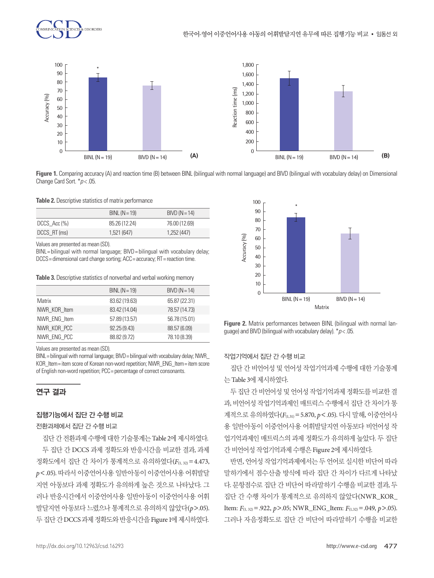



**Figure 1.** Comparing accuracy (A) and reaction time (B) between BINL (bilingual with normal language) and BIVD (bilingual with vocabulary delay) on Dimensional Change Card Sort. \**p* < .05.

**Table 2.** Descriptive statistics of matrix performance

|              | BINL $(N = 19)$ | $BIVD (N=14)$ |
|--------------|-----------------|---------------|
| DCCS Acc (%) | 85.26 (12.24)   | 76.00 (12.69) |
| DCCS RT (ms) | 1,521 (647)     | 1,252 (447)   |

Values are presented as mean (SD).

BINL = bilingual with normal language; BIVD = bilingual with vocabulary delay; DCCS= dimensional card change sorting; ACC= accuracy; RT= reaction time.

**Table 3.** Descriptive statistics of nonverbal and verbal working memory

|              | BINL $(N = 19)$ | $BIVD (N = 14)$ |
|--------------|-----------------|-----------------|
| Matrix       | 83.62 (19.63)   | 65.87 (22.31)   |
| NWR KOR Item | 83.42 (14.04)   | 78.57 (14.73)   |
| NWR ENG Item | 57.89 (13.57)   | 56.78 (15.01)   |
| NWR KOR PCC  | 92.25(9.43)     | 88.57 (6.09)    |
| NWR ENG PCC  | 88.82 (9.72)    | 78.10 (8.39)    |

Values are presented as mean (SD).

BINL= bilingual with normal language; BIVD = bilingual with vocabulary delay; NWR\_ KOR\_Item= item score of Korean non-word repetition; NWR\_ENG\_Item= item score of English non-word repetition; PCC = percentage of correct consonants.

## 연구 결과

#### 집행기능에서 집단 간 수행 비교

전환과제에서 집단 간 수행 비교

집단간전환과제수행에대한기술통계는 Table 2에제시하였다. 두 집단 간 DCCS 과제 정확도와 반응시간을 비교한 결과, 과제 정확도에서 집단 간 차이가 통계적으로 유의하였다(*F*(1, 32)=4.473, *p*<.05). 따라서 이중언어사용 일반아동이 이중언어사용 어휘발달 지연 아동보다 과제 정확도가 유의하게 높은 것으로 나타났다. 그 러나 반응시간에서 이중언어사용 일반아동이 이중언어사용 어휘 발달지연 아동보다 느렸으나 통계적으로 유의하지 않았다(*p*>.05). 두 집단 간 DCCS 과제 정확도와 반응시간을 Figure 1에 제시하였다.



**Figure 2.** Matrix performances between BINL (bilingual with normal language) and BIVD (bilingual with vocabulary delay). \**p* < .05.

### 작업기억에서 집단 간 수행 비교

집단 간 비언어성 및 언어성 작업기억과제 수행에 대한 기술통계 는 Table 3에제시하였다.

두집단간비언어성및언어성작업기억과제정확도를비교한결 과, 비언어성 작업기억과제인 매트릭스 수행에서 집단 간 차이가 통 계적으로 유의하였다(*F*(1,31)=5.870, *p*<.05). 다시 말해, 이중언어사 용 일반아동이 이중언어사용 어휘발달지연 아동보다 비언어성 작 업기억과제인 매트릭스의 과제 정확도가 유의하게 높았다. 두 집단 간 비언어성 작업기억과제 수행은 Figure 2에 제시하였다.

반면, 언어성 작업기억과제에서는 두 언어로 실시한 비단어 따라 말하기에서 점수산출 방식에 따라 집단 간 차이가 다르게 나타났 다. 문항점수로 집단 간 비단어 따라말하기 수행을 비교한 결과, 두 집단 간 수행 차이가 통계적으로 유의하지 않았다(NWR\_KOR\_ Item: *F*<sub>(1,32)</sub> = .922, *p* > .05; NWR\_ENG\_Item: *F*<sub>(1,32)</sub> = .049, *p* > .05). 그러나 자음정확도로 집단 간 비단어 따라말하기 수행을 비교한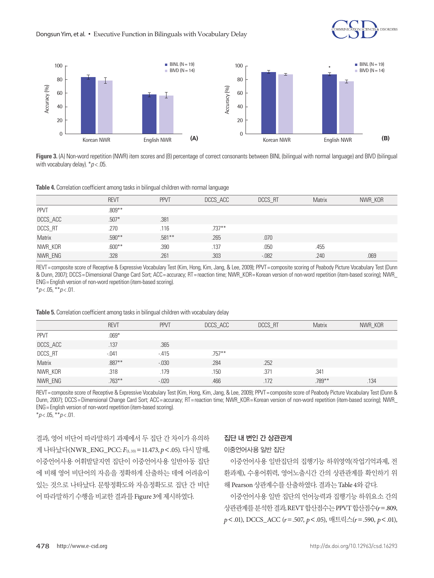



**Figure 3.** (A) Non-word repetition (NWR) item scores and (B) percentage of correct consonants between BINL (bilingual with normal language) and BIVD (bilingual with vocabulary delay). \**p* < .05.

**Table 4.** Correlation coefficient among tasks in bilingual children with normal language

|             | <b>REVT</b> | <b>PPVT</b> | DCCS_ACC | DCCS RT  | <b>Matrix</b> | NWR_KOR |
|-------------|-------------|-------------|----------|----------|---------------|---------|
| <b>PPVT</b> | $.809***$   |             |          |          |               |         |
| DCCS_ACC    | $.507*$     | .381        |          |          |               |         |
| DCCS_RT     | .270        | .116        | $.737**$ |          |               |         |
| Matrix      | .590**      | .581**      | .265     | .070     |               |         |
| NWR_KOR     | $.600**$    | .390        | .137     | .050     | .455          |         |
| NWR_ENG     | .328        | .261        | .303     | $-0.082$ | .240          | .069    |

REVT = composite score of Receptive & Expressive Vocabulary Test (Kim, Hong, Kim, Jang, & Lee, 2009); PPVT = composite scoring of Peabody Picture Vocabulary Test (Dunn & Dunn, 2007); DCCS= Dimensional Change Card Sort; ACC= accuracy; RT= reaction time; NWR\_KOR= Korean version of non-word repetition (item-based scoring); NWR\_ ENG= English version of non-word repetition (item-based scoring). \**p* < .05, \*\**p* < .01.

**Table 5.** Correlation coefficient among tasks in bilingual children with vocabulary delay

|             | <b>REVT</b> | <b>PPVT</b> | DCCS_ACC  | <b>DCCS RT</b> | Matrix | NWR_KOR |
|-------------|-------------|-------------|-----------|----------------|--------|---------|
| <b>PPVT</b> | $.069*$     |             |           |                |        |         |
| DCCS_ACC    | .137        | .365        |           |                |        |         |
| DCCS_RT     | $-.041$     | $-.415$     | $.757***$ |                |        |         |
| Matrix      | .887**      | $-.030$     | .284      | .252           |        |         |
| NWR_KOR     | .318        | .179        | .150      | .371           | .341   |         |
| NWR_ENG     | $.763***$   | $-.020$     | .466      | .172           | .789** | .134    |

REVT = composite score of Receptive & Expressive Vocabulary Test (Kim, Hong, Kim, Jang, & Lee, 2009); PPVT = composite score of Peabody Picture Vocabulary Test (Dunn & Dunn, 2007); DCCS= Dimensional Change Card Sort; ACC= accuracy; RT= reaction time; NWR\_KOR= Korean version of non-word repetition (item-based scoring); NWR\_ ENG= English version of non-word repetition (item-based scoring).

\**p* < .05, \*\**p* < .01.

결과, 영어 비단어 따라말하기 과제에서 두 집단 간 차이가 유의하 게 나타났다(NWR\_ENG\_PCC: *F*(1, 33)=11.473, *p*<.05). 다시 말해, 이중언어사용 어휘발달지연 집단이 이중언어사용 일반아동 집단 에 비해 영어 비단어의 자음을 정확하게 산출하는 데에 어려움이 있는 것으로 나타났다. 문항정확도와 자음정확도로 집단 간 비단 어따라말하기수행을비교한결과를 Figure 3에제시하였다.

#### 집단 내 변인 간 상관관계

#### 이중언어사용 일반 집단

이중언어사용 일반집단의 집행기능 하위영역(작업기억과제, 전 환과제), 수용어휘력, 영어노출시간 간의 상관관계를 확인하기 위 해 Pearson 상관계수를 사출하였다. 결과는 Table 4와 같다.

이중언어사용 일반 집단의 언어능력과 집행기능 하위요소 간의 상관관계를분석한결과, REVT 합산점수는 PPVT 합산점수(*r*=.809, *p*<.01), DCCS\_ACC (*r*=.507, *p*<.05), 매트릭스(*r*=.590, *p*<.01),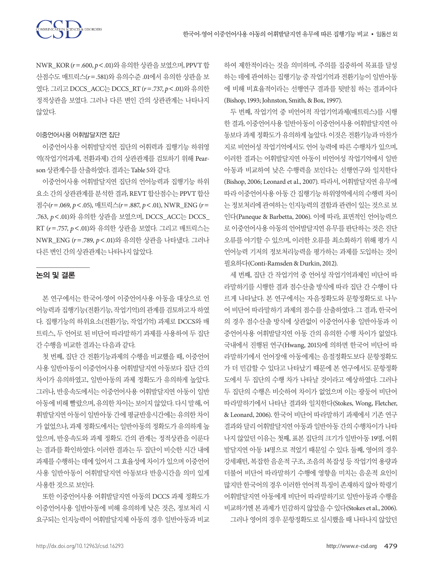NWR\_KOR (*r*=.600, *p*<.01)와유의한상관을보였으며, PPVT 합 산점수도 매트릭스(*r*=.581)와 유의수준 .01에서 유의한 상관을 보 였다. 그리고 DCCS\_ACC는 DCCS\_RT (*r*=.737, *p*<.01)와 유의한 정적상관을 보였다. 그러나 다른 변인 간의 상관관계는 나타나지 않았다.

#### 이중언어사용 어휘발달지연 집단

이중언어사용 어휘발달지연 집단의 어휘력과 집행기능 하위영 역(작업기억과제, 전환과제) 간의 상관관계를 검토하기 위해 Pearson 상관계수를 사출하였다. 결과는 Table 5와 같다.

이중언어사용 어휘발달지연 집단의 언어능력과 집행기능 하위 요소 간의 상관관계를 분석한 결과, REVT 합산점수는 PPVT 합산 점수(*r*=.069, *p*<.05), 매트릭스(*r*=.887, *p*<.01), NWR\_ENG (*r*= .763, *p*<.01)와 유의한 상관을 보였으며, DCCS\_ACC는 DCCS\_ RT (*r*=.757, *p*<.01)와 유의한 상관을 보였다. 그리고 매트릭스는 NWR\_ENG (*r*=.789, *p*<.01)와 유의한 상관을 나타냈다. 그러나 다른변인간의상관관계는나타나지않았다.

# 논의 및 결론

본 연구에서는 한국어-영어 이중언어사용 아동을 대상으로 언 어능력과 집행기능(전환기능, 작업기억)의 관계를 검토하고자 하였 다. 집행기능의 하위요소(전환기능, 작업기억) 과제로 DCCS와 매 트릭스, 두 언어로 된 비단어 따라말하기 과제를 사용하여 두 집단 간수행을비교한결과는다음과같다.

첫 번째, 집단 간 전환기능과제의 수행을 비교했을 때, 이중언어 사용 일반아동이 이중언어사용 어휘발달지연 아동보다 집단 간의 차이가 유의하였고, 일반아동의 과제 정확도가 유의하게 높았다. 그러나, 반응속도에서는 이중언어사용 어휘발달지연 아동이 일반 아동에비해빨랐으며, 유의한차이는보이지않았다. 다시 말해, 어 휘발달지연 아동이 일반아동 간에 평균반응시간에는 유의한 차이 가 없었으나, 과제 정확도에서는 일반아동의 정확도가 유의하게 높 았으며, 반응속도와 과제 정확도 간의 관계는 정적상관을 이룬다 는 결과를 확인하였다. 이러한 결과는 두 집단이 비슷한 시간 내에 과제를 수행하는 데에 있어서 그 효율성에 차이가 있으며 이중언어 사용 일반아동이 어휘발달지연 아동보다 반응시간을 의미 있게 사용한것으로보인다.

또한 이중언어사용 어휘발달지연 아동의 DCCS 과제 정확도가 이중언어사용 일반아동에 비해 유의하게 낮은 것은, 정보처리 시 요구되는 인지능력이 어휘발달지체 아동의 경우 일반아동과 비교 하여 제한적이라는 것을 의미하며, 주의를 집중하여 목표를 달성 하는 데에 관여하는 집행기능 중 작업기억과 전환기능이 일반아동 에 비해 비효율적이라는 선행연구 결과를 뒷받침 하는 결과이다 (Bishop, 1993; Johnston, Smith, & Box, 1997).

두 번째, 작업기억 중 비언어적 작업기억과제(매트릭스)를 시행 한 결과, 이중언어사용 일반아동이 이중언어사용 어휘발달지연 아 동보다 과제 정확도가 유의하게 높았다. 이것은 전환기능과 마찬가 지로 비언어성 작업기억에서도 언어 능력에 따른 수행차가 있으며, 이러한 결과는 어휘발달지연 아동이 비언어성 작업기억에서 일반 아동과 비교하여 낮은 수행력을 보인다는 선행연구와 일치한다 (Bishop, 2006; Leonard et al., 2007). 따라서, 어휘발달지연 유무에 따라 이중언어사용 아동 간 집행기능 하위영역에서의 수행력 차이 는정보처리에관여하는인지능력의결함과관련이있는것으로보 인다(Paneque & Barbetta, 2006). 이에 따라, 표면적인 언어능력으 로 이중언어사용 아동의 언어발달지연 유무를 판단하는 것은 진단 오류를 야기할 수 있으며, 이러한 오류를 최소화하기 위해 평가 시 언어능력 기저의 정보처리능력을 평가하는 과제를 도입하는 것이 필요하다(Conti-Ramsden & Durkin, 2012).

세 번째, 집단 간 작업기억 중 언어성 작업기억과제인 비단어 따 라말하기를 시행한 결과 점수산출 방식에 따라 집단 간 수행이 다 르게 나타났다. 본 연구에서는 자음정확도와 문항정확도로 나누 어 비단어 따라말하기 과제의 점수를 산출하였다. 그 결과, 한국어 의 경우 점수산출 방식에 상관없이 이중언어사용 일반아동과 이 중언어사용 어휘발달지연 아동 간의 유의한 수행 차이가 없었다. 국내에서 진행된 연구(Hwang, 2015)에 의하면 한국어 비단어 따 라말하기에서 언어장애 아동에게는 음절정확도보다 문항정확도 가 더 민감할 수 있다고 나타났기 때문에 본 연구에서도 문항정확 도에서 두 집단의 수행 차가 나타날 것이라고 예상하였다. 그러나 두 집단의 수행은 비슷하여 차이가 없었으며 이는 광둥어 비단어 따라말하기에서 나타난 결과와 일치한다(Stokes, Wong, Fletcher, & Leonard, 2006). 한국어 비단어 따라말하기 과제에서 기존 연구 결과와 달리 어휘발달지연 아동과 일반아동 간의 수행차이가 나타 나지 않았던 이유는 첫째, 표본 집단의 크기가 일반아동 19명, 어휘 발달지연 아동 14명으로 적었기 때문일 수 있다. 둘째, 영어의 경우 강세패턴, 복잡한 음운적 구조, 조음의 복잡성 등 작업기억 용량과 더불어 비단어 따라말하기 수행에 영향을 미치는 음운적 요인이 많지만 한국어의 경우 이러한 언어적 특징이 존재하지 않아 학령기 어휘발달지연 아동에게 비단어 따라말하기로 일반아동과 수행을 비교하기엔본과제가민감하지않았을수있다(Stokes et al., 2006). 그러나 영어의 경우 문항정확도로 실시했을 때 나타나지 않았던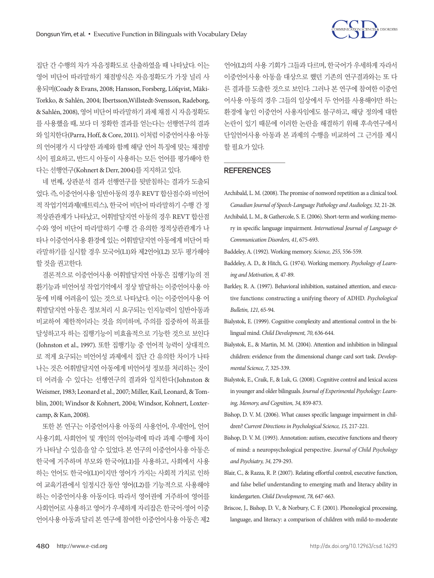

집단 간 수행의 차가 자음정확도로 산출하였을 때 나타났다. 이는 영어 비단어 따라말하기 채점방식은 자음정확도가 가장 널리 사 용되며(Coady & Evans, 2008; Hansson, Forsberg, Löfqvist, Mäki‐ Torkko, & Sahlén, 2004; Ibertsson,Willstedt-Svensson, Radeborg, & Sahlén, 2008), 영어 비단어 따라말하기 과제 채점 시 자음정확도 를 사용했을 때, 보다 더 정확한 결과를 얻는다는 선행연구의 결과 와일치한다(Parra, Hoff, & Core, 2011). 이처럼이중언어사용아동 의 언어평가 시 다양한 과제와 함께 해당 언어 특징에 맞는 채점방 식이 필요하고, 반드시 아동이 사용하는 모든 언어를 평가해야 한 다는 선행연구(Kohnert & Derr, 2004)를 지지하고 있다.

네 번째, 상관분석 결과 선행연구를 뒷받침하는 결과가 도출되 었다. 즉, 이중언어사용일반아동의경우 REVT 합산점수와비언어 적 작업기억과제(매트릭스), 한국어 비단어 따라말하기 수행 간 정 적상관관계가 나타났고, 어휘발달지연 아동의 경우 REVT 합산점 수와 영어 비단어 따라말하기 수행 간 유의한 정적상관관계가 나 타나 이중언어사용 환경에 있는 어휘발달지연 아동에게 비단어 따 라말하기를 실시할 경우 모국어(L1)와 제2언어(L2) 모두 평가해야 할 것을 권고한다.

결론적으로 이중언어사용 어휘발달지연 아동은 집행기능의 전 환기능과 비언어성 작업기억에서 정상 발달하는 이중언어사용 아 동에 비해 어려움이 있는 것으로 나타났다. 이는 이중언어사용 어 휘발달지연 아동은 정보처리 시 요구되는 인지능력이 일반아동과 비교하여 제한적이라는 것을 의미하며, 주의를 집중하여 목표를 달성하고자 하는 집행기능이 비효율적으로 기능한 것으로 보인다 (Johnston et al., 1997). 또한 집행기능 중 언어적 능력이 상대적으 로 적게 요구되는 비언어성 과제에서 집단 간 유의한 차이가 나타 나는 것은 어휘발달지연 아동에게 비언어성 정보를 처리하는 것이 더 어려울 수 있다는 선행연구의 결과와 일치한다(Johnston & Weismer, 1983; Leonard et al., 2007; Miller, Kail, Leonard, & Tomblin, 2001; Windsor & Kohnert, 2004; Windsor, Kohnert, Loxtercamp, & Kan, 2008).

또한 본 연구는 이중언어사용 아동의 사용언어, 우세언어, 언어 사용기회, 사회언어 및 개인의 언어능력에 따라 과제 수행에 차이 가 나타날 수 있음을 알 수 있었다. 본 연구의 이중언어사용 아동은 한국에 거주하며 부모와 한국어(L1)를 사용하고, 사회에서 사용 하는 언어도 한국어(L1)이지만 영어가 가지는 사회적 가치로 인하 여 교육기관에서 일정시간 동안 영어(L2)를 기능적으로 사용해야 하는 이중언어사용 아동이다. 따라서 영어권에 거주하여 영어를 사회언어로 사용하고 영어가 우세하게 자리잡은 한국어-영어 이중 언어사용 아동과 달리 본 연구에 참여한 이중언어사용 아동은 제2

언어(L2)의 사용 기회가 그들과 다르며, 한국어가 우세하게 자라서 이중언어사용 아동을 대상으로 했던 기존의 연구결과와는 또 다 른 결과를 도출한 것으로 보인다. 그러나 본 연구에 참여한 이중언 어사용 아동의 경우 그들의 일상에서 두 언어를 사용해야만 하는 환경에 놓인 이중언어 사용자임에도 불구하고, 해당 정의에 대한 논란이 있기 때문에 이러한 논란을 해결하기 위해 후속연구에서 단일언어사용 아동과 본 과제의 수행을 비교하여 그 근거를 제시 할필요가있다.

#### **REFERENCES**

- Archibald, L. M. (2008). The promise of nonword repetition as a clinical tool. *Canadian Journal of Speech-Language Pathology and Audiology, 32,* 21-28.
- Archibald, L. M., & Gathercole, S. E. (2006). Short-term and working memory in specific language impairment. *International Journal of Language & Communication Disorders, 41,* 675-693.

- Baddeley, A. D., & Hitch, G. (1974). Working memory. *Psychology of Learning and Motivation, 8,* 47-89.
- Barkley, R. A. (1997). Behavioral inhibition, sustained attention, and executive functions: constructing a unifying theory of ADHD. *Psychological Bulletin, 121,* 65-94.
- Bialystok, E. (1999). Cognitive complexity and attentional control in the bilingual mind. *Child Development, 70,* 636-644.
- Bialystok, E., & Martin, M. M. (2004). Attention and inhibition in bilingual children: evidence from the dimensional change card sort task. *Developmental Science, 7,* 325-339.
- Bialystok, E., Craik, F., & Luk, G. (2008). Cognitive control and lexical access in younger and older bilinguals. *Journal of Experimental Psychology: Learning, Memory, and Cognition, 34,* 859-873.
- Bishop, D. V. M. (2006). What causes specific language impairment in children? *Current Directions in Psychological Science, 15,* 217-221.
- Bishop, D. V. M. (1993). Annotation: autism, executive functions and theory of mind: a neuropsychological perspective. *Journal of Child Psychology and Psychiatry, 34,* 279-293.
- Blair, C., & Razza, R. P. (2007). Relating effortful control, executive function, and false belief understanding to emerging math and literacy ability in kindergarten. *Child Development, 78,* 647-663.
- Briscoe, J., Bishop, D. V., & Norbury, C. F. (2001). Phonological processing, language, and literacy: a comparison of children with mild-to-moderate

Baddeley, A. (1992). Working memory. *Science, 255,* 556-559.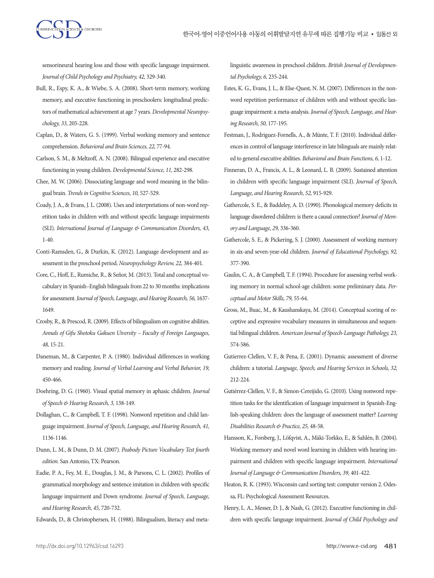

sensorineural hearing loss and those with specific language impairment. *Journal of Child Psychology and Psychiatry, 42,* 329-340.

- Bull, R., Espy, K. A., & Wiebe, S. A. (2008). Short-term memory, working memory, and executive functioning in preschoolers: longitudinal predictors of mathematical achievement at age 7 years. *Developmental Neuropsychology, 33,* 205-228.
- Caplan, D., & Waters, G. S. (1999). Verbal working memory and sentence comprehension. *Behavioral and Brain Sciences, 22,* 77-94.
- Carlson, S. M., & Meltzoff, A. N. (2008). Bilingual experience and executive functioning in young children. *Developmental Science, 11,* 282-298.
- Chee, M. W. (2006). Dissociating language and word meaning in the bilingual brain. *Trends in Cognitive Sciences, 10,* 527-529.
- Coady, J. A., & Evans, J. L. (2008). Uses and interpretations of non‐word repetition tasks in children with and without specific language impairments (SLI). *International Journal of Language & Communication Disorders, 43,*  1-40.
- Conti-Ramsden, G., & Durkin, K. (2012). Language development and assessment in the preschool period. *Neuropsychology Review, 22,* 384-401.
- Core, C., Hoff, E., Rumiche, R., & Señor, M. (2013). Total and conceptual vocabulary in Spanish–English bilinguals from 22 to 30 months: implications for assessment. *Journal of Speech, Language, and Hearing Research, 56,* 1637- 1649.
- Crosby, R., & Prescod, R. (2009). Effects of bilingualism on cognitive abilities. *Annals of Gifu Shotoku Gakuen Uiversity – Faculty of Foreign Languages, 48,* 15-21.
- Daneman, M., & Carpenter, P. A. (1980). Individual differences in working memory and reading. *Journal of Verbal Learning and Verbal Behavior, 19,*  450-466.
- Doehring, D. G. (1960). Visual spatial memory in aphasic children. *Journal of Speech & Hearing Research, 3,* 138-149.
- Dollaghan, C., & Campbell, T. F. (1998). Nonword repetition and child language impairment. *Journal of Speech, Language, and Hearing Research, 41,*  1136-1146.
- Dunn, L. M., & Dunn, D. M. (2007). *Peabody Picture Vocabulary Test fourth edition.* San Antonio, TX: Pearson.
- Eadie, P. A., Fey, M. E., Douglas, J. M., & Parsons, C. L. (2002). Profiles of grammatical morphology and sentence imitation in children with specific language impairment and Down syndrome. *Journal of Speech, Language, and Hearing Research, 45,* 720-732.
- Edwards, D., & Christophersen, H. (1988). Bilingualism, literacy and meta‐

linguistic awareness in preschool children. *British Journal of Developmental Psychology, 6,* 235-244.

- Estes, K. G., Evans, J. L., & Else-Quest, N. M. (2007). Differences in the nonword repetition performance of children with and without specific language impairment: a meta-analysis. *Journal of Speech, Language, and Hearing Research, 50,* 177-195.
- Festman, J., Rodriguez-Fornells, A., & Münte, T. F. (2010). Individual differences in control of language interference in late bilinguals are mainly related to general executive abilities. *Behavioral and Brain Functions, 6,* 1-12.
- Finneran, D. A., Francis, A. L., & Leonard, L. B. (2009). Sustained attention in children with specific language impairment (SLI). *Journal of Speech, Language, and Hearing Research, 52,* 915-929.
- Gathercole, S. E., & Baddeley, A. D. (1990). Phonological memory deficits in language disordered children: is there a causal connection? *Journal of Memory and Language, 29,* 336-360.
- Gathercole, S. E., & Pickering, S. J. (2000). Assessment of working memory in six-and seven-year-old children. *Journal of Educational Psychology, 92,* 377-390.
- Gaulin, C. A., & Campbell, T. F. (1994). Procedure for assessing verbal working memory in normal school-age children: some preliminary data. *Perceptual and Motor Skills, 79,* 55-64.
- Gross, M., Buac, M., & Kaushanskaya, M. (2014). Conceptual scoring of receptive and expressive vocabulary measures in simultaneous and sequential bilingual children. *American Journal of Speech-Language Pathology, 23,* 574-586.
- Gutierrez-Clellen, V. F., & Pena, E. (2001). Dynamic assessment of diverse children: a tutorial. *Language, Speech, and Hearing Services in Schools, 32,*  212-224.
- Gutiérrez‐Clellen, V. F., & Simon‐Cereijido, G. (2010). Using nonword repetition tasks for the identification of language impairment in Spanish‐English‐speaking children: does the language of assessment matter? *Learning Disabilities Research & Practice, 25,* 48-58.
- Hansson, K., Forsberg, J., Löfqvist, A., Mäki‐Torkko, E., & Sahlén, B. (2004). Working memory and novel word learning in children with hearing impairment and children with specific language impairment. *International Journal of Language & Communication Disorders, 39,* 401-422.
- Heaton, R. K. (1993). Wisconsin card sorting test: computer version 2. Odessa, FL: Psychological Assessment Resources.
- Henry, L. A., Messer, D. J., & Nash, G. (2012). Executive functioning in children with specific language impairment. *Journal of Child Psychology and*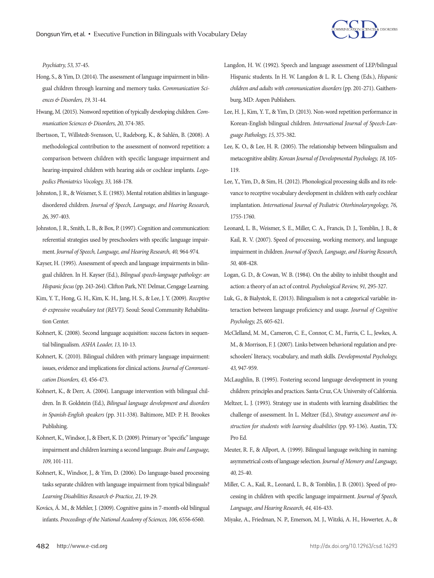

*Psychiatry, 53,* 37-45.

- Hong, S., & Yim, D. (2014). The assessment of language impairment in bilingual children through learning and memory tasks. *Communication Sciences & Disorders, 19,* 31-44.
- Hwang, M. (2015). Nonword repetition of typically developing children. *Communication Sciences & Disorders, 20,* 374-385.
- Ibertsson, T., Willstedt-Svensson, U., Radeborg, K., & Sahlén, B. (2008). A methodological contribution to the assessment of nonword repetition: a comparison between children with specific language impairment and hearing-impaired children with hearing aids or cochlear implants. *Logopedics Phoniatrics Vocology, 33,* 168-178.
- Johnston, J. R., & Weismer, S. E. (1983). Mental rotation abilities in languagedisordered children. *Journal of Speech, Language, and Hearing Research, 26,* 397-403.
- Johnston, J. R., Smith, L. B., & Box, P. (1997). Cognition and communication: referential strategies used by preschoolers with specific language impairment. *Journal of Speech, Language, and Hearing Research, 40,* 964-974.
- Kayser, H. (1995). Assessment of speech and language impairments in bilingual children. In H. Kayser (Ed.), *Bilingual speech-language pathology: an Hispanic focus* (pp. 243-264). Clifton Park, NY: Delmar, Cengage Learning.
- Kim, Y. T., Hong, G. H., Kim, K. H., Jang, H. S., & Lee, J. Y. (2009). *Receptive & expressive vocabulary test (REVT).* Seoul: Seoul Community Rehabilitation Center.
- Kohnert, K. (2008). Second language acquisition: success factors in sequential bilingualism. *ASHA Leader, 13,* 10-13.
- Kohnert, K. (2010). Bilingual children with primary language impairment: issues, evidence and implications for clinical actions. *Journal of Communication Disorders, 43,* 456-473.
- Kohnert, K., & Derr, A. (2004). Language intervention with bilingual children. In B. Goldstein (Ed.), *Bilingual language development and disorders in Spanish-English speakers* (pp. 311-338). Baltimore, MD: P. H. Brookes Publishing.
- Kohnert, K., Windsor, J., & Ebert, K. D. (2009). Primary or "specific" language impairment and children learning a second language. *Brain and Language, 109,* 101-111.
- Kohnert, K., Windsor, J., & Yim, D. (2006). Do language‐based processing tasks separate children with language impairment from typical bilinguals? *Learning Disabilities Research & Practice, 21,* 19-29.
- Kovács, Á. M., & Mehler, J. (2009). Cognitive gains in 7-month-old bilingual infants. *Proceedings of the National Academy of Sciences, 106,* 6556-6560.
- Langdon, H. W. (1992). Speech and language assessment of LEP/bilingual Hispanic students. In H. W. Langdon & L. R. L. Cheng (Eds.), *Hispanic children and adults with communication disorders* (pp. 201-271). Gaithersburg, MD: Aspen Publishers.
- Lee, H. J., Kim, Y. T., & Yim, D. (2013). Non-word repetition performance in Korean-English bilingual children. *International Journal of Speech-Language Pathology, 15,* 375-382.
- Lee, K. O., & Lee, H. R. (2005). The relationship between bilingualism and metacognitive ability. *Korean Journal of Developmental Psychology, 18,* 105- 119.
- Lee, Y., Yim, D., & Sim, H. (2012). Phonological processing skills and its relevance to receptive vocabulary development in children with early cochlear implantation. *International Journal of Pediatric Otorhinolaryngology, 76,*  1755-1760.
- Leonard, L. B., Weismer, S. E., Miller, C. A., Francis, D. J., Tomblin, J. B., & Kail, R. V. (2007). Speed of processing, working memory, and language impairment in children. *Journal of Speech, Language, and Hearing Research, 50,* 408-428.
- Logan, G. D., & Cowan, W. B. (1984). On the ability to inhibit thought and action: a theory of an act of control. *Psychological Review, 91,* 295-327.
- Luk, G., & Bialystok, E. (2013). Bilingualism is not a categorical variable: interaction between language proficiency and usage. *Journal of Cognitive Psychology, 25,* 605-621.
- McClelland, M. M., Cameron, C. E., Connor, C. M., Farris, C. L., Jewkes, A. M., & Morrison, F. J. (2007). Links between behavioral regulation and preschoolers' literacy, vocabulary, and math skills. *Developmental Psychology, 43,* 947-959.
- McLaughlin, B. (1995). Fostering second language development in young children: principles and practices. Santa Cruz, CA: University of California.
- Meltzer, L. J. (1993). Strategy use in students with learning disabilities: the challenge of assessment. In L. Meltzer (Ed.), *Strategy assessment and instruction for students with learning disabilities* (pp. 93-136). Austin, TX: Pro Ed.
- Meuter, R. F., & Allport, A. (1999). Bilingual language switching in naming: asymmetrical costs of language selection. *Journal of Memory and Language, 40,* 25-40.
- Miller, C. A., Kail, R., Leonard, L. B., & Tomblin, J. B. (2001). Speed of processing in children with specific language impairment. *Journal of Speech, Language, and Hearing Research, 44,* 416-433.
- Miyake, A., Friedman, N. P., Emerson, M. J., Witzki, A. H., Howerter, A., &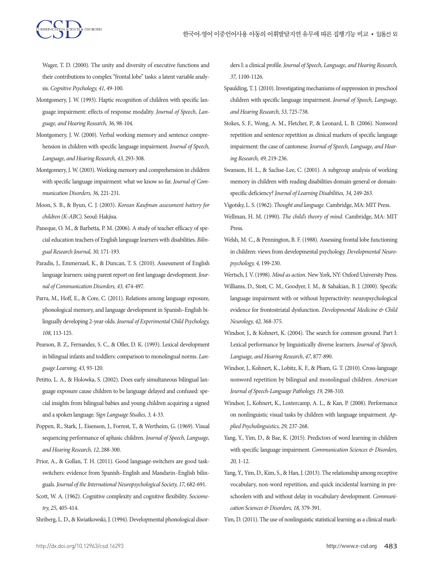Wager, T. D. (2000). The unity and diversity of executive functions and their contributions to complex "frontal lobe" tasks: a latent variable analysis. *Cognitive Psychology, 41,* 49-100.

- Montgomery, J. W. (1993). Haptic recognition of children with specific language impairment: effects of response modality. *Journal of Speech, Language, and Hearing Research, 36,* 98-104.
- Montgomery, J. W. (2000). Verbal working memory and sentence comprehension in children with specific language impairment. *Journal of Speech, Language, and Hearing Research, 43,* 293-308.
- Montgomery, J. W. (2003). Working memory and comprehension in children with specific language impairment: what we know so far. *Journal of Communication Disorders, 36,* 221-231.
- Moon, S. B., & Byun, C. J. (2003). *Korean Kaufman assessment battery for children (K-ABC).* Seoul: Hakjisa.
- Paneque, O. M., & Barbetta, P. M. (2006). A study of teacher efficacy of special education teachers of English language learners with disabilities. *Bilingual Research Journal, 30,* 171-193.
- Paradis, J., Emmerzael, K., & Duncan, T. S. (2010). Assessment of English language learners: using parent report on first language development. *Journal of Communication Disorders, 43,* 474-497.
- Parra, M., Hoff, E., & Core, C. (2011). Relations among language exposure, phonological memory, and language development in Spanish–English bilingually developing 2-year-olds. *Journal of Experimental Child Psychology, 108,* 113-125.
- Pearson, B. Z., Fernandez, S. C., & Oller, D. K. (1993). Lexical development in bilingual infants and toddlers: comparison to monolingual norms. *Language Learning, 43,* 93-120.
- Petitto, L. A., & Holowka, S. (2002). Does early simultaneous bilingual language exposure cause children to be language delayed and confused: special insights from bilingual babies and young children acquiring a signed and a spoken language. *Sign Language Studies, 3,* 4-33.
- Poppen, R., Stark, J., Eisenson, J., Forrest, T., & Wertheim, G. (1969). Visual sequencing performance of aphasic children. *Journal of Speech, Language, and Hearing Research, 12,* 288-300.
- Prior, A., & Gollan, T. H. (2011). Good language-switchers are good taskswitchers: evidence from Spanish–English and Mandarin–English bilinguals. *Journal of the International Neuropsychological Society, 17,* 682-691.
- Scott, W. A. (1962). Cognitive complexity and cognitive flexibility. *Sociometry, 25,* 405-414.
- Shriberg, L. D., & Kwiatkowski, J. (1994). Developmental phonological disor-

ders I: a clinical profile. *Journal of Speech, Language, and Hearing Research, 37,* 1100-1126.

- Spaulding, T. J. (2010). Investigating mechanisms of suppression in preschool children with specific language impairment. *Journal of Speech, Language, and Hearing Research, 53,* 725-738.
- Stokes, S. F., Wong, A. M., Fletcher, P., & Leonard, L. B. (2006). Nonword repetition and sentence repetition as clinical markers of specific language impairment: the case of cantonese. *Journal of Speech, Language, and Hearing Research, 49,* 219-236.
- Swanson, H. L., & Sachse-Lee, C. (2001). A subgroup analysis of working memory in children with reading disabilities domain-general or domainspecific deficiency? *Journal of Learning Disabilities, 34,* 249-263.
- Vigotsky, L. S. (1962). *Thought and language.* Cambridge, MA: MIT Press.
- Wellman, H. M. (1990). *The child's theory of mind.* Cambridge, MA: MIT Press.
- Welsh, M. C., & Pennington, B. F. (1988). Assessing frontal lobe functioning in children: views from developmental psychology. *Developmental Neuropsychology, 4,* 199-230.
- Wertsch, J. V. (1998). *Mind as action.* New York, NY: Oxford University Press.
- Williams, D., Stott, C. M., Goodyer, I. M., & Sahakian, B. J. (2000). Specific language impairment with or without hyperactivity: neuropsychological evidence for frontostriatal dysfunction. *Developmental Medicine & Child Neurology, 42,* 368-375.
- Windsor, J., & Kohnert, K. (2004). The search for common ground. Part I: Lexical performance by linguistically diverse learners. *Journal of Speech, Language, and Hearing Research, 47,* 877-890.
- Windsor, J., Kohnert, K., Lobitz, K. F., & Pham, G. T. (2010). Cross-language nonword repetition by bilingual and monolingual children. *American Journal of Speech-Language Pathology, 19,* 298-310.
- Windsor, J., Kohnert, K., Loxtercamp, A. L., & Kan, P. (2008). Performance on nonlinguistic visual tasks by children with language impairment. *Applied Psycholinguistics, 29,* 237-268.
- Yang, Y., Yim, D., & Bae, K. (2015). Predictors of word learning in children with specific language impairment. *Communication Sciences & Disorders, 20,* 1-12.
- Yang, Y., Yim, D., Kim, S., & Han, J. (2013). The relationship among receptive vocabulary, non-word repetition, and quick incidental learning in preschoolers with and without delay in vocabulary development. *Communication Sciences & Disorders, 18,* 379-391.
- Yim, D. (2011). The use of nonlinguistic statistical learning as a clinical mark-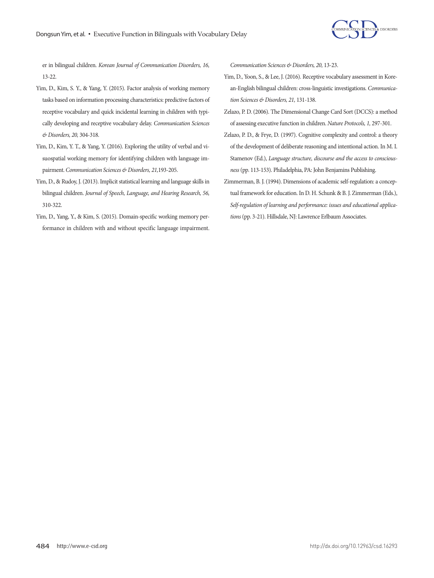

er in bilingual children. *Korean Journal of Communication Disorders, 16,*  13-22.

- Yim, D., Kim, S. Y., & Yang, Y. (2015). Factor analysis of working memory tasks based on information processing characteristics: predictive factors of receptive vocabulary and quick incidental learning in children with typically developing and receptive vocabulary delay. *Communication Sciences & Disorders, 20,* 304-318.
- Yim, D., Kim, Y. T., & Yang, Y. (2016). Exploring the utility of verbal and visuospatial working memory for identifying children with language impairment. *Communication Sciences & Disorders, 21,*193-205.
- Yim, D., & Rudoy, J. (2013). Implicit statistical learning and language skills in bilingual children. *Journal of Speech, Language, and Hearing Research, 56,* 310-322.
- Yim, D., Yang, Y., & Kim, S. (2015). Domain-specific working memory performance in children with and without specific language impairment.

*Communication Sciences & Disorders, 20,* 13-23.

- Yim, D., Yoon, S., & Lee, J. (2016). Receptive vocabulary assessment in Korean-English bilingual children: cross-linguistic investigations. *Communication Sciences & Disorders, 21,* 131-138.
- Zelazo, P. D. (2006). The Dimensional Change Card Sort (DCCS): a method of assessing executive function in children. *Nature Protocols, 1,* 297-301.
- Zelazo, P. D., & Frye, D. (1997). Cognitive complexity and control: a theory of the development of deliberate reasoning and intentional action. In M. I. Stamenov (Ed.), *Language structure, discourse and the access to consciousness* (pp. 113-153). Philadelphia, PA: John Benjamins Publishing.
- Zimmerman, B. J. (1994). Dimensions of academic self-regulation: a conceptual framework for education. In D. H. Schunk & B. J. Zimmerman (Eds.), *Self-regulation of learning and performance: issues and educational applications* (pp. 3-21). Hillsdale, NJ: Lawrence Erlbaum Associates.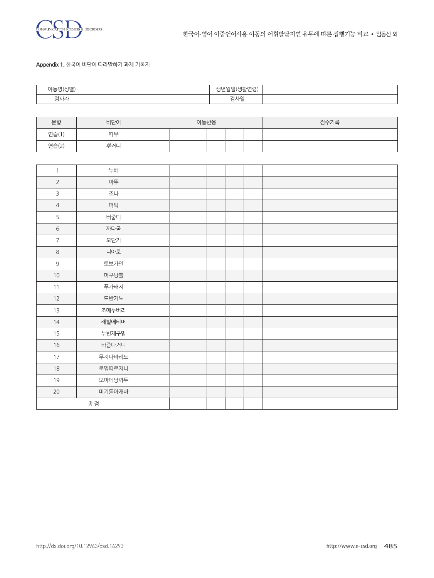

#### **Appendix 1.** 한국어 비단어 따라말하기 과제 기록지

| 1.1.11      | 2 = C)<br>---- |  |
|-------------|----------------|--|
| 7117<br>심시시 | 검사일            |  |

| 문항    | 비단어 | 아동반응 |  |  |  |  | 점수기록 |
|-------|-----|------|--|--|--|--|------|
| 연습(1) | 따무  |      |  |  |  |  |      |
| 연습(2) | 뿌커L |      |  |  |  |  |      |

| $\mathbf{1}$   | 누베     |  |  |  |  |
|----------------|--------|--|--|--|--|
| $\overline{2}$ | 마뚜     |  |  |  |  |
| $\mathsf{3}$   | 조나     |  |  |  |  |
| $\overline{4}$ | 퍼틱     |  |  |  |  |
| 5              | 버줍디    |  |  |  |  |
| $\sqrt{6}$     | 까다굳    |  |  |  |  |
| $\overline{7}$ | 모단기    |  |  |  |  |
| $\,8\,$        | 니아토    |  |  |  |  |
| $\mathsf 9$    | 토보가인   |  |  |  |  |
| $10\,$         | 머구낭뿔   |  |  |  |  |
| 11             | 푸가태지   |  |  |  |  |
| 12             | 드반거노   |  |  |  |  |
| 13             | 조매누버리  |  |  |  |  |
| 14             | 레빌애티머  |  |  |  |  |
| 15             | 누빈재구밈  |  |  |  |  |
| $16\,$         | 바즘다거니  |  |  |  |  |
| 17             | 무지다바리노 |  |  |  |  |
| $18\,$         | 로밉띠르저니 |  |  |  |  |
| 19             | 보마데낭까두 |  |  |  |  |
| $20\,$         | 미기돋아캐바 |  |  |  |  |
|                | 총점     |  |  |  |  |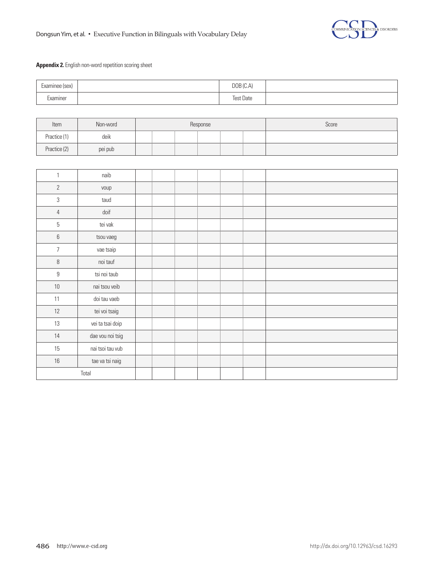

# **Appendix 2.** English non-word repetition scoring sheet

| Examinee (sex) | DOB (C.A)        |  |
|----------------|------------------|--|
| Examiner       | <b>Test Date</b> |  |

| Item         | Non-word | Response |  |  |  |  |  | Score |
|--------------|----------|----------|--|--|--|--|--|-------|
| Practice (1) | deik     |          |  |  |  |  |  |       |
| Practice (2) | pei pub  |          |  |  |  |  |  |       |

| $\mathbf{1}$     | naib             |  |  |  |  |
|------------------|------------------|--|--|--|--|
| $\overline{2}$   | voup             |  |  |  |  |
| $\sqrt{3}$       | taud             |  |  |  |  |
| $\overline{4}$   | doif             |  |  |  |  |
| 5                | tei vak          |  |  |  |  |
| 6                | tsou vaeg        |  |  |  |  |
| $\overline{7}$   | vae tsaip        |  |  |  |  |
| 8                | noi tauf         |  |  |  |  |
| $\boldsymbol{9}$ | tsi noi taub     |  |  |  |  |
| $10\,$           | nai tsou veib    |  |  |  |  |
| 11               | doi tau vaeb     |  |  |  |  |
| 12               | tei voi tsaig    |  |  |  |  |
| 13               | vei ta tsai doip |  |  |  |  |
| 14               | dae vou noi tsig |  |  |  |  |
| 15               | nai tsoi tau vub |  |  |  |  |
| $16\,$           | tae va tsi naig  |  |  |  |  |
|                  | Total            |  |  |  |  |